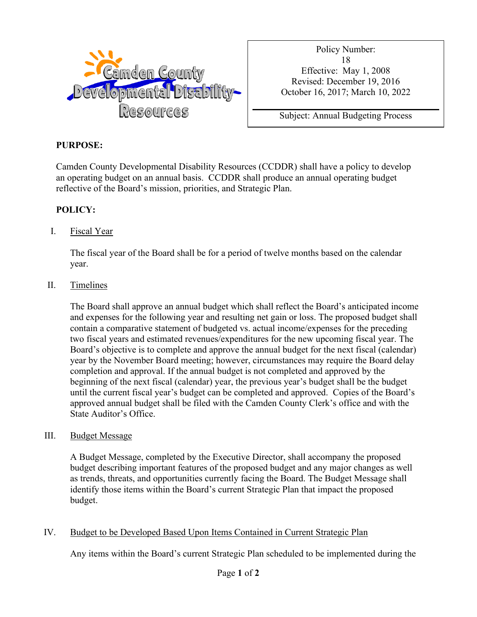

Policy Number: 18 Effective: May 1, 2008 Revised: December 19, 2016 October 16, 2017; March 10, 2022

Subject: Annual Budgeting Process

# **PURPOSE:**

Camden County Developmental Disability Resources (CCDDR) shall have a policy to develop an operating budget on an annual basis. CCDDR shall produce an annual operating budget reflective of the Board's mission, priorities, and Strategic Plan.

# **POLICY:**

## I. Fiscal Year

The fiscal year of the Board shall be for a period of twelve months based on the calendar year.

## II. Timelines

The Board shall approve an annual budget which shall reflect the Board's anticipated income and expenses for the following year and resulting net gain or loss. The proposed budget shall contain a comparative statement of budgeted vs. actual income/expenses for the preceding two fiscal years and estimated revenues/expenditures for the new upcoming fiscal year. The Board's objective is to complete and approve the annual budget for the next fiscal (calendar) year by the November Board meeting; however, circumstances may require the Board delay completion and approval. If the annual budget is not completed and approved by the beginning of the next fiscal (calendar) year, the previous year's budget shall be the budget until the current fiscal year's budget can be completed and approved. Copies of the Board's approved annual budget shall be filed with the Camden County Clerk's office and with the State Auditor's Office.

## III. Budget Message

A Budget Message, completed by the Executive Director, shall accompany the proposed budget describing important features of the proposed budget and any major changes as well as trends, threats, and opportunities currently facing the Board. The Budget Message shall identify those items within the Board's current Strategic Plan that impact the proposed budget.

## IV. Budget to be Developed Based Upon Items Contained in Current Strategic Plan

Any items within the Board's current Strategic Plan scheduled to be implemented during the